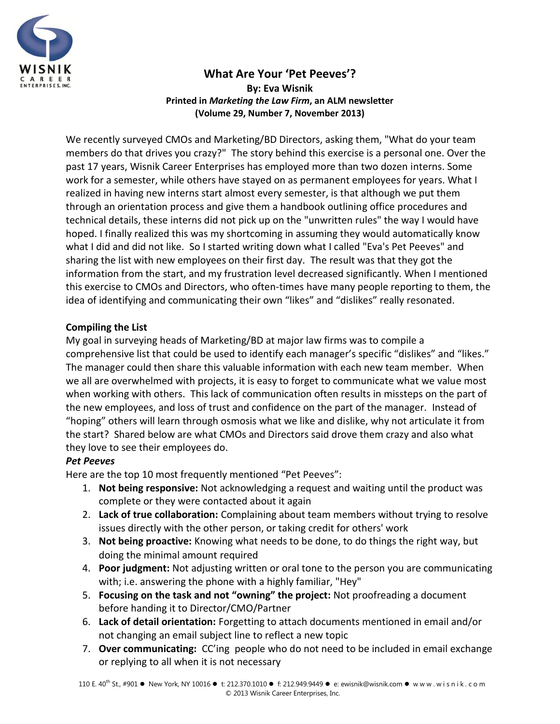

# **What Are Your 'Pet Peeves'? By: Eva Wisnik Printed in** *Marketing the Law Firm***, an ALM newsletter (Volume 29, Number 7, November 2013)**

We recently surveyed CMOs and Marketing/BD Directors, asking them, "What do your team members do that drives you crazy?" The story behind this exercise is a personal one. Over the past 17 years, Wisnik Career Enterprises has employed more than two dozen interns. Some work for a semester, while others have stayed on as permanent employees for years. What I realized in having new interns start almost every semester, is that although we put them through an orientation process and give them a handbook outlining office procedures and technical details, these interns did not pick up on the "unwritten rules" the way I would have hoped. I finally realized this was my shortcoming in assuming they would automatically know what I did and did not like. So I started writing down what I called "Eva's Pet Peeves" and sharing the list with new employees on their first day. The result was that they got the information from the start, and my frustration level decreased significantly. When I mentioned this exercise to CMOs and Directors, who often-times have many people reporting to them, the idea of identifying and communicating their own "likes" and "dislikes" really resonated.

## **Compiling the List**

My goal in surveying heads of Marketing/BD at major law firms was to compile a comprehensive list that could be used to identify each manager's specific "dislikes" and "likes." The manager could then share this valuable information with each new team member. When we all are overwhelmed with projects, it is easy to forget to communicate what we value most when working with others. This lack of communication often results in missteps on the part of the new employees, and loss of trust and confidence on the part of the manager. Instead of "hoping" others will learn through osmosis what we like and dislike, why not articulate it from the start? Shared below are what CMOs and Directors said drove them crazy and also what they love to see their employees do.

## *Pet Peeves*

Here are the top 10 most frequently mentioned "Pet Peeves":

- 1. **Not being responsive:** Not acknowledging a request and waiting until the product was complete or they were contacted about it again
- 2. **Lack of true collaboration:** Complaining about team members without trying to resolve issues directly with the other person, or taking credit for others' work
- 3. **Not being proactive:** Knowing what needs to be done, to do things the right way, but doing the minimal amount required
- 4. **Poor judgment:** Not adjusting written or oral tone to the person you are communicating with; i.e. answering the phone with a highly familiar, "Hey"
- 5. **Focusing on the task and not "owning" the project:** Not proofreading a document before handing it to Director/CMO/Partner
- 6. **Lack of detail orientation:** Forgetting to attach documents mentioned in email and/or not changing an email subject line to reflect a new topic
- 7. **Over communicating:** CC'ing people who do not need to be included in email exchange or replying to all when it is not necessary